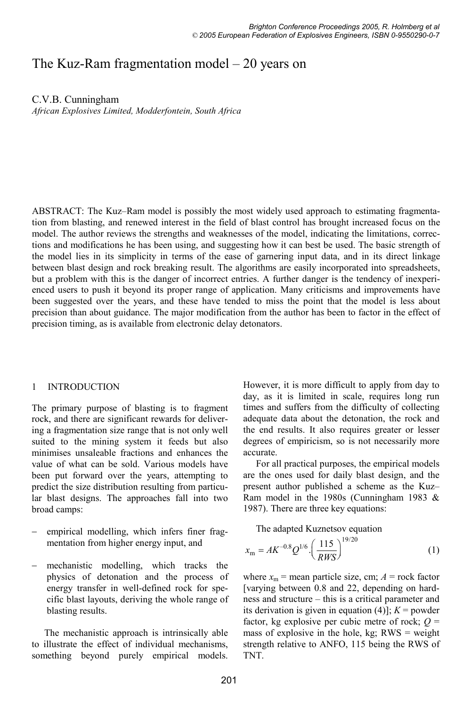# The Kuz-Ram fragmentation model – 20 years on

C.V.B. Cunningham

*African Explosives Limited, Modderfontein, South Africa* 

ABSTRACT: The Kuz–Ram model is possibly the most widely used approach to estimating fragmentation from blasting, and renewed interest in the field of blast control has brought increased focus on the model. The author reviews the strengths and weaknesses of the model, indicating the limitations, corrections and modifications he has been using, and suggesting how it can best be used. The basic strength of the model lies in its simplicity in terms of the ease of garnering input data, and in its direct linkage between blast design and rock breaking result. The algorithms are easily incorporated into spreadsheets, but a problem with this is the danger of incorrect entries. A further danger is the tendency of inexperienced users to push it beyond its proper range of application. Many criticisms and improvements have been suggested over the years, and these have tended to miss the point that the model is less about precision than about guidance. The major modification from the author has been to factor in the effect of precision timing, as is available from electronic delay detonators.

# 1 INTRODUCTION

The primary purpose of blasting is to fragment rock, and there are significant rewards for delivering a fragmentation size range that is not only well suited to the mining system it feeds but also minimises unsaleable fractions and enhances the value of what can be sold. Various models have been put forward over the years, attempting to predict the size distribution resulting from particular blast designs. The approaches fall into two broad camps:

- empirical modelling, which infers finer fragmentation from higher energy input, and
- mechanistic modelling, which tracks the physics of detonation and the process of energy transfer in well-defined rock for specific blast layouts, deriving the whole range of blasting results.

The mechanistic approach is intrinsically able to illustrate the effect of individual mechanisms, something beyond purely empirical models.

However, it is more difficult to apply from day to day, as it is limited in scale, requires long run times and suffers from the difficulty of collecting adequate data about the detonation, the rock and the end results. It also requires greater or lesser degrees of empiricism, so is not necessarily more accurate.

For all practical purposes, the empirical models are the ones used for daily blast design, and the present author published a scheme as the Kuz– Ram model in the 1980s (Cunningham 1983 & 1987). There are three key equations:

The adapted Kuznetsov equation

$$
x_{\rm m} = AK^{-0.8}Q^{1/6} \cdot \left(\frac{115}{RWS}\right)^{19/20} \tag{1}
$$

where  $x_m$  = mean particle size, cm;  $A$  = rock factor [varying between 0.8 and 22, depending on hardness and structure – this is a critical parameter and its derivation is given in equation  $(4)$ ];  $K =$  powder factor, kg explosive per cubic metre of rock;  $Q =$ mass of explosive in the hole, kg;  $RWS = weight$ strength relative to ANFO, 115 being the RWS of TNT.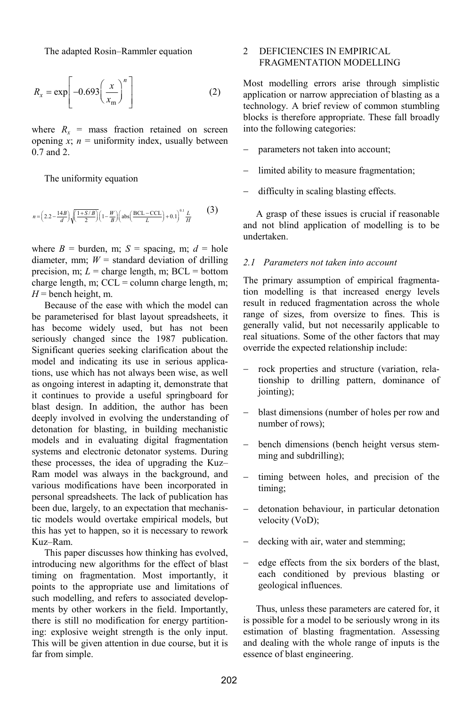The adapted Rosin–Rammler equation

$$
R_x = \exp\left[-0.693\left(\frac{x}{x_m}\right)^n\right] \tag{2}
$$

where  $R_x$  = mass fraction retained on screen opening  $x$ ;  $n =$  uniformity index, usually between 0.7 and 2.

The uniformity equation

$$
n = \left(2.2 - \frac{14B}{d}\right) \sqrt{\frac{1+ S/B}{2}} \left(1 - \frac{W}{B}\right) \left(\text{abs}\left(\frac{\text{BCL-CL}}{L}\right) + 0.1\right)^{0.1} \frac{L}{H} \tag{3}
$$

where  $B =$  burden, m;  $S =$  spacing, m;  $d =$  hole diameter, mm;  $W =$  standard deviation of drilling precision, m;  $L =$  charge length, m; BCL = bottom charge length, m;  $CCL =$  column charge length, m;  $H =$  bench height, m.

Because of the ease with which the model can be parameterised for blast layout spreadsheets, it has become widely used, but has not been seriously changed since the 1987 publication. Significant queries seeking clarification about the model and indicating its use in serious applications, use which has not always been wise, as well as ongoing interest in adapting it, demonstrate that it continues to provide a useful springboard for blast design. In addition, the author has been deeply involved in evolving the understanding of detonation for blasting, in building mechanistic models and in evaluating digital fragmentation systems and electronic detonator systems. During these processes, the idea of upgrading the Kuz– Ram model was always in the background, and various modifications have been incorporated in personal spreadsheets. The lack of publication has been due, largely, to an expectation that mechanistic models would overtake empirical models, but this has yet to happen, so it is necessary to rework Kuz–Ram.

This paper discusses how thinking has evolved, introducing new algorithms for the effect of blast timing on fragmentation. Most importantly, it points to the appropriate use and limitations of such modelling, and refers to associated developments by other workers in the field. Importantly, there is still no modification for energy partitioning: explosive weight strength is the only input. This will be given attention in due course, but it is far from simple.

# 2 DEFICIENCIES IN EMPIRICAL FRAGMENTATION MODELLING

Most modelling errors arise through simplistic application or narrow appreciation of blasting as a technology. A brief review of common stumbling blocks is therefore appropriate. These fall broadly into the following categories:

- parameters not taken into account;
- limited ability to measure fragmentation;
- difficulty in scaling blasting effects.

A grasp of these issues is crucial if reasonable and not blind application of modelling is to be undertaken.

### *2.1 Parameters not taken into account*

The primary assumption of empirical fragmentation modelling is that increased energy levels result in reduced fragmentation across the whole range of sizes, from oversize to fines. This is generally valid, but not necessarily applicable to real situations. Some of the other factors that may override the expected relationship include:

- rock properties and structure (variation, relationship to drilling pattern, dominance of jointing);
- blast dimensions (number of holes per row and number of rows);
- bench dimensions (bench height versus stemming and subdrilling);
- timing between holes, and precision of the timing;
- detonation behaviour, in particular detonation velocity (VoD);
- decking with air, water and stemming;
- edge effects from the six borders of the blast, each conditioned by previous blasting or geological influences.

Thus, unless these parameters are catered for, it is possible for a model to be seriously wrong in its estimation of blasting fragmentation. Assessing and dealing with the whole range of inputs is the essence of blast engineering.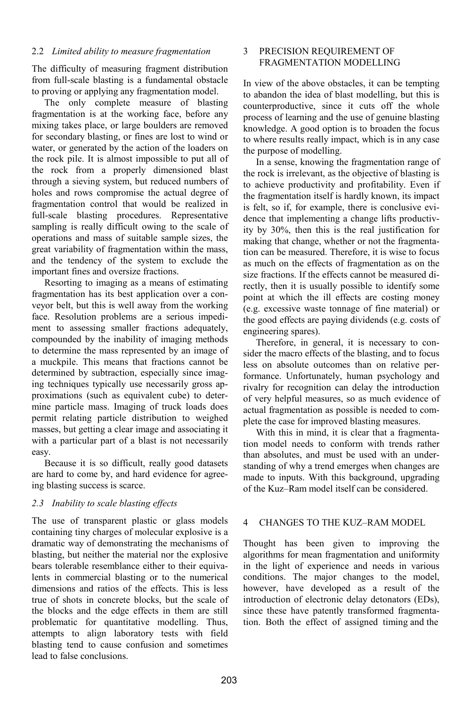### 2.2 *Limited ability to measure fragmentation*

The difficulty of measuring fragment distribution from full-scale blasting is a fundamental obstacle to proving or applying any fragmentation model.

The only complete measure of blasting fragmentation is at the working face, before any mixing takes place, or large boulders are removed for secondary blasting, or fines are lost to wind or water, or generated by the action of the loaders on the rock pile. It is almost impossible to put all of the rock from a properly dimensioned blast through a sieving system, but reduced numbers of holes and rows compromise the actual degree of fragmentation control that would be realized in full-scale blasting procedures. Representative sampling is really difficult owing to the scale of operations and mass of suitable sample sizes, the great variability of fragmentation within the mass, and the tendency of the system to exclude the important fines and oversize fractions.

Resorting to imaging as a means of estimating fragmentation has its best application over a conveyor belt, but this is well away from the working face. Resolution problems are a serious impediment to assessing smaller fractions adequately, compounded by the inability of imaging methods to determine the mass represented by an image of a muckpile. This means that fractions cannot be determined by subtraction, especially since imaging techniques typically use necessarily gross approximations (such as equivalent cube) to determine particle mass. Imaging of truck loads does permit relating particle distribution to weighed masses, but getting a clear image and associating it with a particular part of a blast is not necessarily easy.

Because it is so difficult, really good datasets are hard to come by, and hard evidence for agreeing blasting success is scarce.

# *2.3 Inability to scale blasting effects*

The use of transparent plastic or glass models containing tiny charges of molecular explosive is a dramatic way of demonstrating the mechanisms of blasting, but neither the material nor the explosive bears tolerable resemblance either to their equivalents in commercial blasting or to the numerical dimensions and ratios of the effects. This is less true of shots in concrete blocks, but the scale of the blocks and the edge effects in them are still problematic for quantitative modelling. Thus, attempts to align laboratory tests with field blasting tend to cause confusion and sometimes lead to false conclusions.

# 3 PRECISION REQUIREMENT OF FRAGMENTATION MODELLING

In view of the above obstacles, it can be tempting to abandon the idea of blast modelling, but this is counterproductive, since it cuts off the whole process of learning and the use of genuine blasting knowledge. A good option is to broaden the focus to where results really impact, which is in any case the purpose of modelling.

In a sense, knowing the fragmentation range of the rock is irrelevant, as the objective of blasting is to achieve productivity and profitability. Even if the fragmentation itself is hardly known, its impact is felt, so if, for example, there is conclusive evidence that implementing a change lifts productivity by 30%, then this is the real justification for making that change, whether or not the fragmentation can be measured. Therefore, it is wise to focus as much on the effects of fragmentation as on the size fractions. If the effects cannot be measured directly, then it is usually possible to identify some point at which the ill effects are costing money (e.g. excessive waste tonnage of fine material) or the good effects are paying dividends (e.g. costs of engineering spares).

Therefore, in general, it is necessary to consider the macro effects of the blasting, and to focus less on absolute outcomes than on relative performance. Unfortunately, human psychology and rivalry for recognition can delay the introduction of very helpful measures, so as much evidence of actual fragmentation as possible is needed to complete the case for improved blasting measures.

With this in mind, it is clear that a fragmentation model needs to conform with trends rather than absolutes, and must be used with an understanding of why a trend emerges when changes are made to inputs. With this background, upgrading of the Kuz–Ram model itself can be considered.

# 4 CHANGES TO THE KUZ–RAM MODEL

Thought has been given to improving the algorithms for mean fragmentation and uniformity in the light of experience and needs in various conditions. The major changes to the model, however, have developed as a result of the introduction of electronic delay detonators (EDs), since these have patently transformed fragmentation. Both the effect of assigned timing and the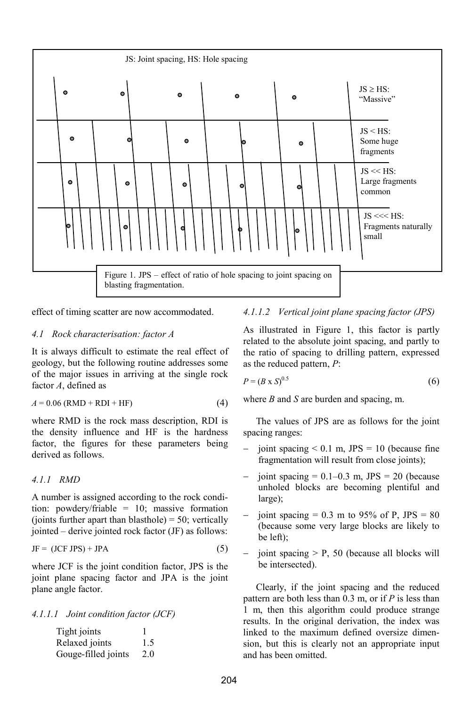

effect of timing scatter are now accommodated.

### *4.1 Rock characterisation: factor A*

It is always difficult to estimate the real effect of geology, but the following routine addresses some of the major issues in arriving at the single rock factor *A*, defined as

$$
A = 0.06 \text{ (RMD + RDI + HF)} \tag{4}
$$

where RMD is the rock mass description, RDI is the density influence and HF is the hardness factor, the figures for these parameters being derived as follows.

# *4.1.1 RMD*

A number is assigned according to the rock condition: powdery/friable = 10; massive formation (joints further apart than blasthole) =  $50$ ; vertically jointed – derive jointed rock factor (JF) as follows:

$$
JF = (JCF JPS) + JPA
$$
 (5)

where JCF is the joint condition factor, JPS is the joint plane spacing factor and JPA is the joint plane angle factor.

*4.1.1.1 Joint condition factor (JCF)* 

| Tight joints        |     |
|---------------------|-----|
| Relaxed joints      | 1.5 |
| Gouge-filled joints | 2.0 |

### *4.1.1.2 Vertical joint plane spacing factor (JPS)*

As illustrated in Figure 1, this factor is partly related to the absolute joint spacing, and partly to the ratio of spacing to drilling pattern, expressed as the reduced pattern, *P*:

$$
P = (B \times S)^{0.5} \tag{6}
$$

where *B* and *S* are burden and spacing, m.

The values of JPS are as follows for the joint spacing ranges:

- joint spacing  $< 0.1$  m, JPS = 10 (because fine fragmentation will result from close joints);
- joint spacing  $= 0.1 - 0.3$  m, JPS  $= 20$  (because unholed blocks are becoming plentiful and large);
- joint spacing  $= 0.3$  m to 95% of P, JPS  $= 80$ (because some very large blocks are likely to be left);
- joint spacing > P, 50 (because all blocks will be intersected).

Clearly, if the joint spacing and the reduced pattern are both less than 0.3 m, or if *P* is less than 1 m, then this algorithm could produce strange results. In the original derivation, the index was linked to the maximum defined oversize dimension, but this is clearly not an appropriate input and has been omitted.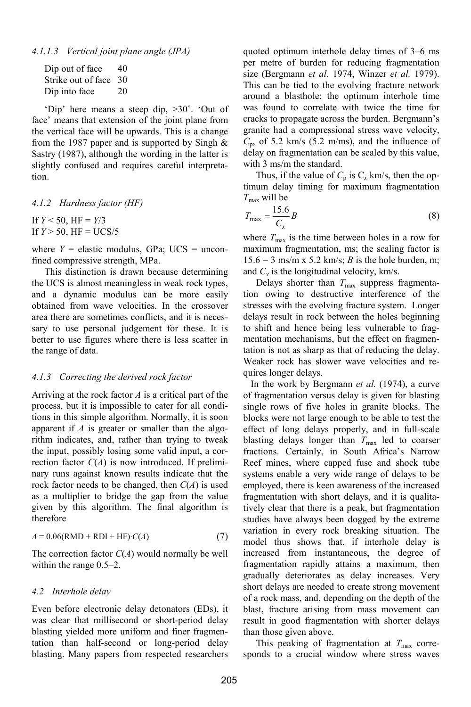| Dip out of face       | 40 |
|-----------------------|----|
| Strike out of face 30 |    |
| Dip into face         | 20 |

'Dip' here means a steep dip,  $>30^\circ$ . 'Out of face' means that extension of the joint plane from the vertical face will be upwards. This is a change from the 1987 paper and is supported by Singh  $\&$ Sastry (1987), although the wording in the latter is slightly confused and requires careful interpretation.

*4.1.2 Hardness factor (HF)* 

If  $Y < 50$ , HF =  $Y/3$ If  $Y > 50$ , HF = UCS/5

where  $Y =$  elastic modulus, GPa; UCS = unconfined compressive strength, MPa.

This distinction is drawn because determining the UCS is almost meaningless in weak rock types, and a dynamic modulus can be more easily obtained from wave velocities. In the crossover area there are sometimes conflicts, and it is necessary to use personal judgement for these. It is better to use figures where there is less scatter in the range of data.

#### *4.1.3 Correcting the derived rock factor*

Arriving at the rock factor *A* is a critical part of the process, but it is impossible to cater for all conditions in this simple algorithm. Normally, it is soon apparent if *A* is greater or smaller than the algorithm indicates, and, rather than trying to tweak the input, possibly losing some valid input, a correction factor  $C(A)$  is now introduced. If preliminary runs against known results indicate that the rock factor needs to be changed, then *C*(*A*) is used as a multiplier to bridge the gap from the value given by this algorithm. The final algorithm is therefore

$$
A = 0.06(RMD + RDI + HF) \cdot C(A)
$$
 (7)

The correction factor *C*(*A*) would normally be well within the range 0.5–2.

#### *4.2 Interhole delay*

Even before electronic delay detonators (EDs), it was clear that millisecond or short-period delay blasting yielded more uniform and finer fragmentation than half-second or long-period delay blasting. Many papers from respected researchers quoted optimum interhole delay times of 3–6 ms per metre of burden for reducing fragmentation size (Bergmann *et al.* 1974, Winzer *et al.* 1979). This can be tied to the evolving fracture network around a blasthole: the optimum interhole time was found to correlate with twice the time for cracks to propagate across the burden. Bergmann's granite had a compressional stress wave velocity,  $C_p$ , of 5.2 km/s (5.2 m/ms), and the influence of delay on fragmentation can be scaled by this value, with 3 ms/m the standard.

Thus, if the value of  $C_p$  is  $C_x$  km/s, then the optimum delay timing for maximum fragmentation *T*max will be

$$
T_{\text{max}} = \frac{15.6}{C_x}B\tag{8}
$$

where  $T_{\text{max}}$  is the time between holes in a row for maximum fragmentation, ms; the scaling factor is  $15.6 = 3$  ms/m x 5.2 km/s; *B* is the hole burden, m; and  $C_x$  is the longitudinal velocity, km/s.

Delays shorter than  $T_{\text{max}}$  suppress fragmentation owing to destructive interference of the stresses with the evolving fracture system. Longer delays result in rock between the holes beginning to shift and hence being less vulnerable to fragmentation mechanisms, but the effect on fragmentation is not as sharp as that of reducing the delay. Weaker rock has slower wave velocities and requires longer delays.

In the work by Bergmann *et al.* (1974), a curve of fragmentation versus delay is given for blasting single rows of five holes in granite blocks. The blocks were not large enough to be able to test the effect of long delays properly, and in full-scale blasting delays longer than  $T_{\text{max}}$  led to coarser fractions. Certainly, in South Africa's Narrow Reef mines, where capped fuse and shock tube systems enable a very wide range of delays to be employed, there is keen awareness of the increased fragmentation with short delays, and it is qualitatively clear that there is a peak, but fragmentation studies have always been dogged by the extreme variation in every rock breaking situation. The model thus shows that, if interhole delay is increased from instantaneous, the degree of fragmentation rapidly attains a maximum, then gradually deteriorates as delay increases. Very short delays are needed to create strong movement of a rock mass, and, depending on the depth of the blast, fracture arising from mass movement can result in good fragmentation with shorter delays than those given above.

This peaking of fragmentation at  $T_{\text{max}}$  corresponds to a crucial window where stress waves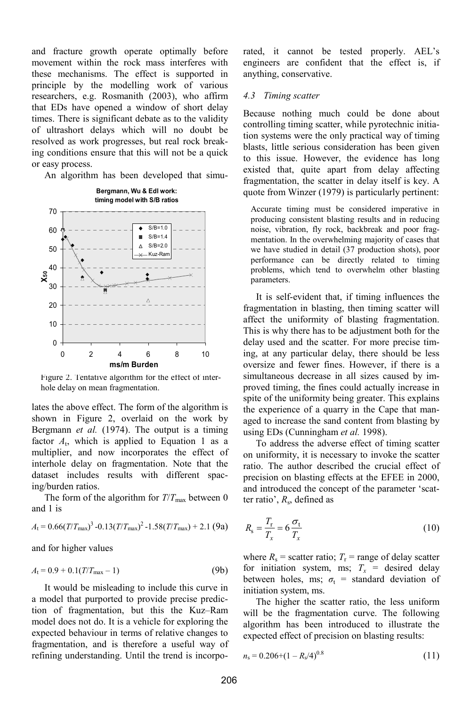and fracture growth operate optimally before movement within the rock mass interferes with these mechanisms. The effect is supported in principle by the modelling work of various researchers, e.g. Rosmanith (2003), who affirm that EDs have opened a window of short delay times. There is significant debate as to the validity of ultrashort delays which will no doubt be resolved as work progresses, but real rock breaking conditions ensure that this will not be a quick or easy process.

An algorithm has been developed that simu-



Figure 2. Tentative algorithm for the effect of interhole delay on mean fragmentation.

lates the above effect. The form of the algorithm is shown in Figure 2, overlaid on the work by Bergmann *et al.* (1974). The output is a timing factor  $A_t$ , which is applied to Equation 1 as a multiplier, and now incorporates the effect of interhole delay on fragmentation. Note that the dataset includes results with different spacing/burden ratios.

The form of the algorithm for  $T/T_{\text{max}}$  between 0 and 1 is

$$
A_{\rm t} = 0.66 (T/T_{\rm max})^3 - 0.13 (T/T_{\rm max})^2 - 1.58 (T/T_{\rm max}) + 2.1 (9a)
$$

and for higher values

$$
A_{t} = 0.9 + 0.1(T/T_{\text{max}} - 1)
$$
 (9b)

It would be misleading to include this curve in a model that purported to provide precise prediction of fragmentation, but this the Kuz–Ram model does not do. It is a vehicle for exploring the expected behaviour in terms of relative changes to fragmentation, and is therefore a useful way of refining understanding. Until the trend is incorporated, it cannot be tested properly. AEL's engineers are confident that the effect is, if anything, conservative.

#### *4.3 Timing scatter*

Because nothing much could be done about controlling timing scatter, while pyrotechnic initiation systems were the only practical way of timing blasts, little serious consideration has been given to this issue. However, the evidence has long existed that, quite apart from delay affecting fragmentation, the scatter in delay itself is key. A quote from Winzer (1979) is particularly pertinent:

Accurate timing must be considered imperative in producing consistent blasting results and in reducing noise, vibration, fly rock, backbreak and poor fragmentation. In the overwhelming majority of cases that we have studied in detail (37 production shots), poor performance can be directly related to timing problems, which tend to overwhelm other blasting parameters.

It is self-evident that, if timing influences the fragmentation in blasting, then timing scatter will affect the uniformity of blasting fragmentation. This is why there has to be adjustment both for the delay used and the scatter. For more precise timing, at any particular delay, there should be less oversize and fewer fines. However, if there is a simultaneous decrease in all sizes caused by improved timing, the fines could actually increase in spite of the uniformity being greater. This explains the experience of a quarry in the Cape that managed to increase the sand content from blasting by using EDs (Cunningham *et al.* 1998).

To address the adverse effect of timing scatter on uniformity, it is necessary to invoke the scatter ratio. The author described the crucial effect of precision on blasting effects at the EFEE in 2000, and introduced the concept of the parameter 'scatter ratio', *R*s, defined as

$$
R_{\rm s} = \frac{T_{\rm r}}{T_x} = 6 \frac{\sigma_{\rm t}}{T_x} \tag{10}
$$

where  $R_s$  = scatter ratio;  $T_r$  = range of delay scatter for initiation system, ms;  $T_x$  = desired delay between holes, ms;  $\sigma_t$  = standard deviation of initiation system, ms.

The higher the scatter ratio, the less uniform will be the fragmentation curve. The following algorithm has been introduced to illustrate the expected effect of precision on blasting results:

$$
n_s = 0.206 + (1 - R_s/4)^{0.8}
$$
 (11)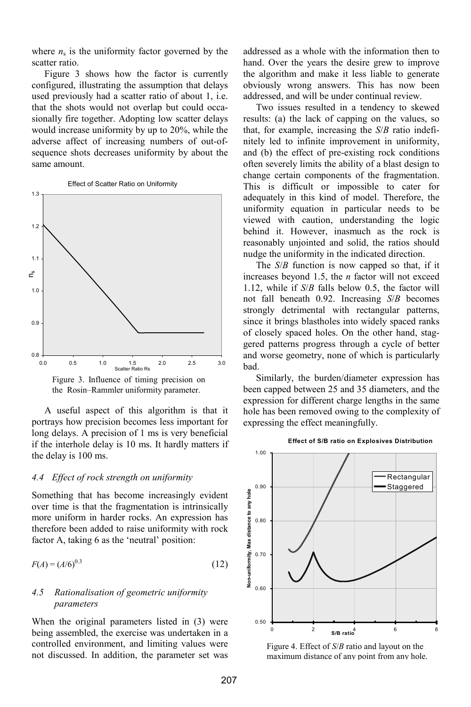where  $n<sub>s</sub>$  is the uniformity factor governed by the scatter ratio.

Figure 3 shows how the factor is currently configured, illustrating the assumption that delays used previously had a scatter ratio of about 1, i.e. that the shots would not overlap but could occasionally fire together. Adopting low scatter delays would increase uniformity by up to 20%, while the adverse affect of increasing numbers of out-ofsequence shots decreases uniformity by about the same amount.



Effect of Scatter Ratio on Uniformity



A useful aspect of this algorithm is that it portrays how precision becomes less important for long delays. A precision of 1 ms is very beneficial if the interhole delay is 10 ms. It hardly matters if the delay is 100 ms.

# *4.4 Effect of rock strength on uniformity*

Something that has become increasingly evident over time is that the fragmentation is intrinsically more uniform in harder rocks. An expression has therefore been added to raise uniformity with rock factor A, taking 6 as the 'neutral' position:

$$
F(A) = (A/6)^{0.3} \tag{12}
$$

### *4.5 Rationalisation of geometric uniformity parameters*

When the original parameters listed in (3) were being assembled, the exercise was undertaken in a controlled environment, and limiting values were not discussed. In addition, the parameter set was

addressed as a whole with the information then to hand. Over the years the desire grew to improve the algorithm and make it less liable to generate obviously wrong answers. This has now been addressed, and will be under continual review.

Two issues resulted in a tendency to skewed results: (a) the lack of capping on the values, so that, for example, increasing the *S*/*B* ratio indefinitely led to infinite improvement in uniformity, and (b) the effect of pre-existing rock conditions often severely limits the ability of a blast design to change certain components of the fragmentation. This is difficult or impossible to cater for adequately in this kind of model. Therefore, the uniformity equation in particular needs to be viewed with caution, understanding the logic behind it. However, inasmuch as the rock is reasonably unjointed and solid, the ratios should nudge the uniformity in the indicated direction.

The *S*/*B* function is now capped so that, if it increases beyond 1.5, the *n* factor will not exceed 1.12, while if *S*/*B* falls below 0.5, the factor will not fall beneath 0.92. Increasing *S*/*B* becomes strongly detrimental with rectangular patterns, since it brings blastholes into widely spaced ranks of closely spaced holes. On the other hand, staggered patterns progress through a cycle of better and worse geometry, none of which is particularly bad.

Similarly, the burden/diameter expression has been capped between 25 and 35 diameters, and the expression for different charge lengths in the same hole has been removed owing to the complexity of expressing the effect meaningfully.



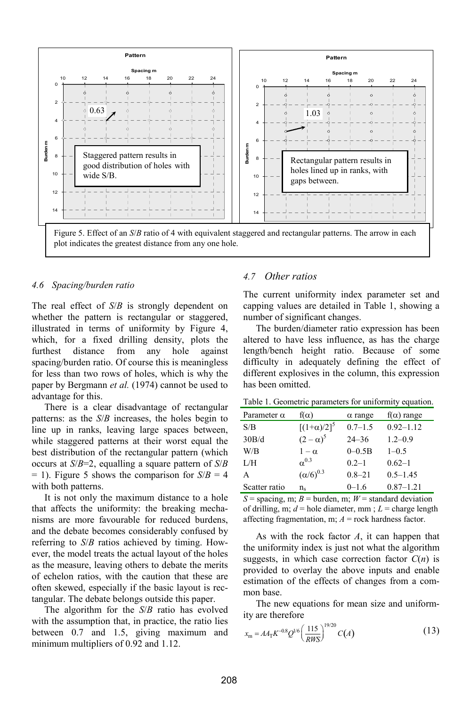

#### *4.6 Spacing/burden ratio*

The real effect of *S*/*B* is strongly dependent on whether the pattern is rectangular or staggered, illustrated in terms of uniformity by Figure 4, which, for a fixed drilling density, plots the furthest distance from any hole against spacing/burden ratio. Of course this is meaningless for less than two rows of holes, which is why the paper by Bergmann *et al.* (1974) cannot be used to advantage for this.

There is a clear disadvantage of rectangular patterns: as the *S*/*B* increases, the holes begin to line up in ranks, leaving large spaces between, while staggered patterns at their worst equal the best distribution of the rectangular pattern (which occurs at *S*/*B*=2, equalling a square pattern of *S*/*B*  $=$  1). Figure 5 shows the comparison for  $S/B = 4$ with both patterns.

It is not only the maximum distance to a hole that affects the uniformity: the breaking mechanisms are more favourable for reduced burdens, and the debate becomes considerably confused by referring to *S*/*B* ratios achieved by timing. However, the model treats the actual layout of the holes as the measure, leaving others to debate the merits of echelon ratios, with the caution that these are often skewed, especially if the basic layout is rectangular. The debate belongs outside this paper.

The algorithm for the *S*/*B* ratio has evolved with the assumption that, in practice, the ratio lies between 0.7 and 1.5, giving maximum and minimum multipliers of 0.92 and 1.12.

### *4.7 Other ratios*

The current uniformity index parameter set and capping values are detailed in Table 1, showing a number of significant changes.

The burden/diameter ratio expression has been altered to have less influence, as has the charge length/bench height ratio. Because of some difficulty in adequately defining the effect of different explosives in the column, this expression has been omitted.

Table 1. Geometric parameters for uniformity equation.

| Parameter $\alpha$ | $f(\alpha)$        | $\alpha$ range | $f(\alpha)$ range |
|--------------------|--------------------|----------------|-------------------|
| S/B                | $[(1+\alpha)/2]^5$ | $0.7 - 1.5$    | $0.92 - 1.12$     |
| 30B/d              | $(2-\alpha)^5$     | $24 - 36$      | $1.2 - 0.9$       |
| W/B                | $1-\alpha$         | $0 - 0.5B$     | $1 - 0.5$         |
| I/H                | $\alpha^{0.3}$     | $0.2 - 1$      | $0.62 - 1$        |
| A                  | $(\alpha/6)^{0.3}$ | $0.8 - 21$     | $0.5 - 1.45$      |
| Scatter ratio      | $n_{s}$            | $0 - 1.6$      | $0.87 - 1.21$     |

 $S =$  spacing, m;  $B =$  burden, m;  $W =$  standard deviation of drilling, m;  $d =$  hole diameter, mm :  $L =$  charge length affecting fragmentation, m; *A* = rock hardness factor.

As with the rock factor *A*, it can happen that the uniformity index is just not what the algorithm suggests, in which case correction factor  $C(n)$  is provided to overlay the above inputs and enable estimation of the effects of changes from a common base.

The new equations for mean size and uniformity are therefore

$$
x_{\rm m} = A A_{\rm T} K^{-0.8} Q^{1/6} \left(\frac{115}{RWS}\right)^{19/20} C(A) \tag{13}
$$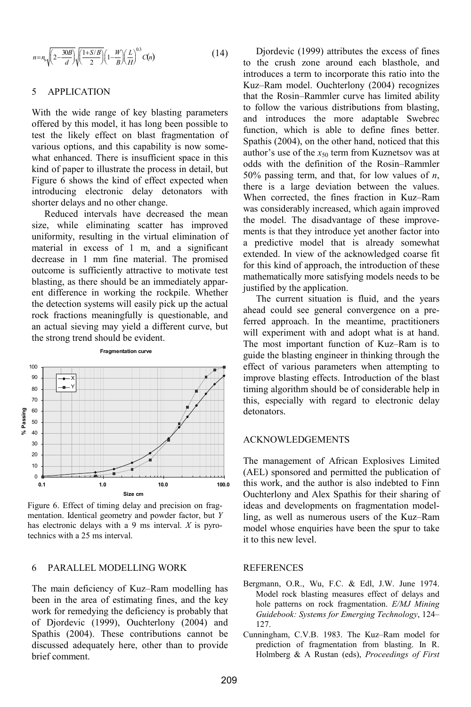$$
n = n_s \sqrt{\left(2 - \frac{30B}{d}\right)} \sqrt{\frac{(1 + S/B)}{2}} \left(1 - \frac{W}{B}\right) \left(\frac{L}{H}\right)^{0.3} C(n)
$$
 (14)

### 5 APPLICATION

With the wide range of key blasting parameters offered by this model, it has long been possible to test the likely effect on blast fragmentation of various options, and this capability is now somewhat enhanced. There is insufficient space in this kind of paper to illustrate the process in detail, but Figure 6 shows the kind of effect expected when introducing electronic delay detonators with shorter delays and no other change.

Reduced intervals have decreased the mean size, while eliminating scatter has improved uniformity, resulting in the virtual elimination of material in excess of 1 m, and a significant decrease in 1 mm fine material. The promised outcome is sufficiently attractive to motivate test blasting, as there should be an immediately apparent difference in working the rockpile. Whether the detection systems will easily pick up the actual rock fractions meaningfully is questionable, and an actual sieving may yield a different curve, but the strong trend should be evident.



Figure 6. Effect of timing delay and precision on fragmentation. Identical geometry and powder factor, but *Y* has electronic delays with a 9 ms interval. *X* is pyrotechnics with a 25 ms interval.

# 6 PARALLEL MODELLING WORK

The main deficiency of Kuz–Ram modelling has been in the area of estimating fines, and the key work for remedying the deficiency is probably that of Djordevic (1999), Ouchterlony (2004) and Spathis (2004). These contributions cannot be discussed adequately here, other than to provide brief comment.

Djordevic (1999) attributes the excess of fines to the crush zone around each blasthole, and introduces a term to incorporate this ratio into the Kuz–Ram model. Ouchterlony (2004) recognizes that the Rosin–Rammler curve has limited ability to follow the various distributions from blasting, and introduces the more adaptable Swebrec function, which is able to define fines better. Spathis (2004), on the other hand, noticed that this author's use of the  $x_{50}$  term from Kuznetsov was at odds with the definition of the Rosin–Rammler 50% passing term, and that, for low values of *n*, there is a large deviation between the values. When corrected, the fines fraction in Kuz–Ram was considerably increased, which again improved the model. The disadvantage of these improvements is that they introduce yet another factor into a predictive model that is already somewhat extended. In view of the acknowledged coarse fit for this kind of approach, the introduction of these mathematically more satisfying models needs to be justified by the application.

The current situation is fluid, and the years ahead could see general convergence on a preferred approach. In the meantime, practitioners will experiment with and adopt what is at hand. The most important function of Kuz–Ram is to guide the blasting engineer in thinking through the effect of various parameters when attempting to improve blasting effects. Introduction of the blast timing algorithm should be of considerable help in this, especially with regard to electronic delay detonators.

### ACKNOWLEDGEMENTS

The management of African Explosives Limited (AEL) sponsored and permitted the publication of this work, and the author is also indebted to Finn Ouchterlony and Alex Spathis for their sharing of ideas and developments on fragmentation modelling, as well as numerous users of the Kuz–Ram model whose enquiries have been the spur to take it to this new level.

#### REFERENCES

- Bergmann, O.R., Wu, F.C. & Edl, J.W. June 1974. Model rock blasting measures effect of delays and hole patterns on rock fragmentation. *E/MJ Mining Guidebook: Systems for Emerging Technology*, 124– 127.
- Cunningham, C.V.B. 1983. The Kuz–Ram model for prediction of fragmentation from blasting. In R. Holmberg & A Rustan (eds), *Proceedings of First*